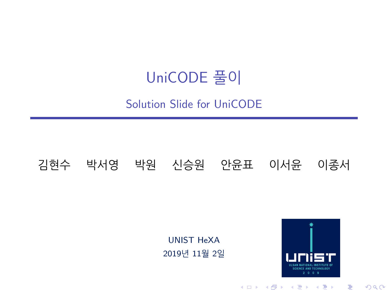## UniCODE 풀이

#### Solution Slide for UniCODE

#### 김현수 박서영 박원 신승원 안윤표 이서윤 이종서

#### UNIST HeXA 2019년 11월 2일



メロト メタト メミト メミト

 $2Q$ 

È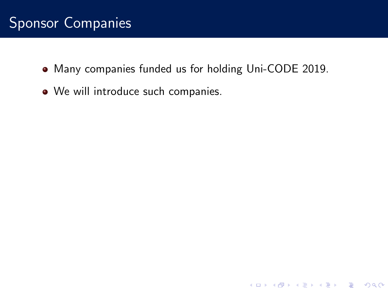Many companies funded us for holding Uni-CODE 2019.

**K ロ ▶ K @ ▶ K 할 X X 할 X → 할 X → 9 Q Q ^** 

• We will introduce such companies.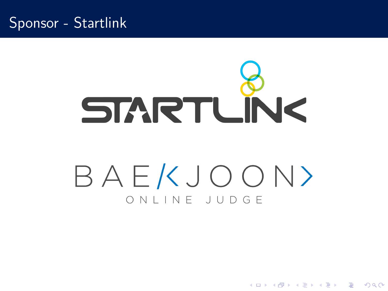#### Sponsor - Startlink

# **STARTLINK** BAEKJOON> ONIINE JUDGE

**KORK STRAIN A BAR SHOP**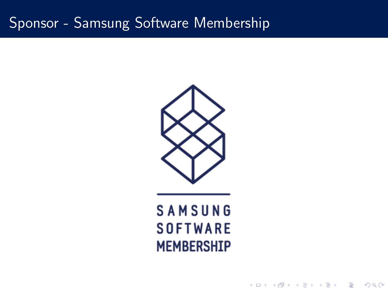## Sponsor - Samsung Software Membership



# **SAMSUNG SOFTWARE MEMBERSHIP**

K ロ ▶ K @ ▶ K 할 > K 할 > 1 할 > 1 이익어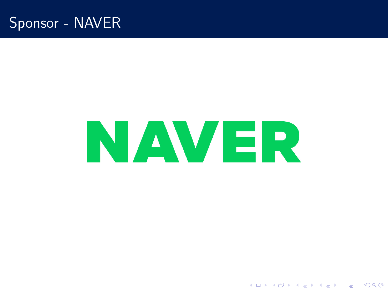### Sponsor - NAVER

# **NAVER**

K ロ ▶ K @ ▶ K 할 > K 할 > 1 할 > 1 이익어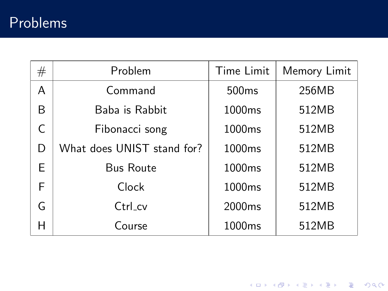## Problems

| $^{\#}$ | Problem                    | Time Limit         | Memory Limit |
|---------|----------------------------|--------------------|--------------|
| A       | Command                    | 500 <sub>ms</sub>  | 256MB        |
| B       | Baba is Rabbit             | 1000 <sub>ms</sub> | 512MB        |
| C       | Fibonacci song             | 1000 <sub>ms</sub> | 512MB        |
| D       | What does UNIST stand for? | 1000ms             | 512MB        |
| E       | <b>Bus Route</b>           | 1000ms             | 512MB        |
| F       | Clock                      | 1000 <sub>ms</sub> | 512MB        |
| G       | Ctrl_cv                    | 2000ms             | 512MB        |
| Н       | Course                     | 1000 <sub>ms</sub> | 512MB        |

K ロ K K (메 K K X B K X B H X B K O Q Q C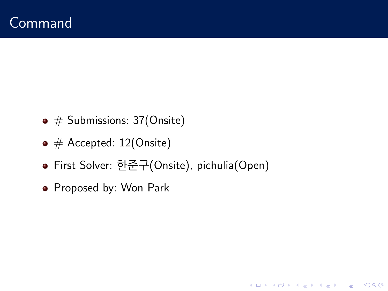- $\bullet$  # Submissions: 37(Onsite)
- $\bullet \#$  Accepted: 12(Onsite)
- First Solver: 한준구(Onsite), pichulia(Open)

K ロ ▶ K @ ▶ K 할 > K 할 > 1 할 > 1 이익어

• Proposed by: Won Park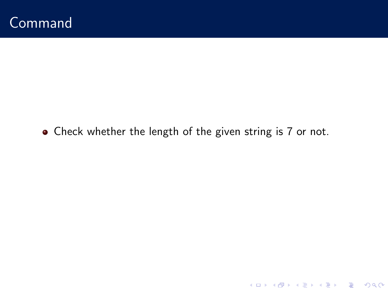Check whether the length of the given string is 7 or not.

K ロ X K 메 X K B X X B X X D X O Q Q O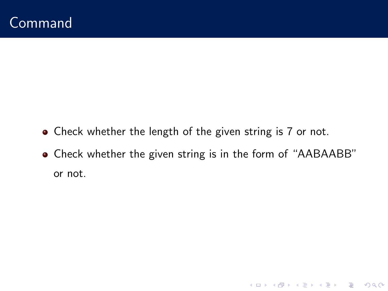- Check whether the length of the given string is 7 or not.
- Check whether the given string is in the form of "AABAABB" or not.

K ロ K K (P) K (E) K (E) X (E) X (P) K (P)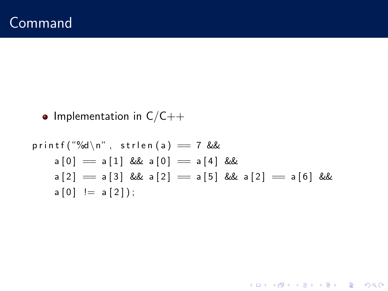• Implementation in  $C/C++$ 

p r i n t f ( "%d\n" , s t r l e n ( a ) == 7 && a [ 0 ] == a [ 1 ] && a [ 0 ] == a [ 4 ] && a [ 2 ] == a [ 3 ] && a [ 2 ] == a [ 5 ] && a [ 2 ] == a [ 6 ] && a [ 0 ] != a [ 2 ] ) ;

K ロ X K 메 X K B X X B X X D X O Q Q O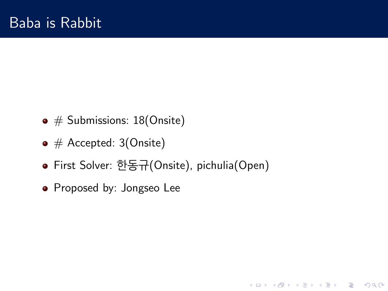- $\bullet$  # Submissions: 18(Onsite)
- $\bullet \#$  Accepted: 3(Onsite)
- First Solver: 한동규(Onsite), pichulia(Open)

**KORK ERKER ADE YOUR** 

• Proposed by: Jongseo Lee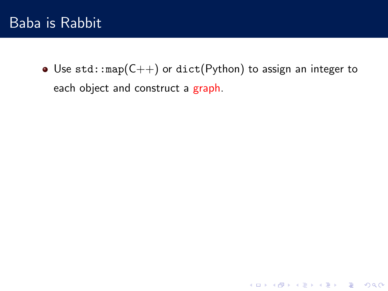• Use std:: $map(C++)$  or dict(Python) to assign an integer to each object and construct a graph.

K □ ▶ K @ ▶ K 할 X K 할 X T 할 X 1 9 Q Q \*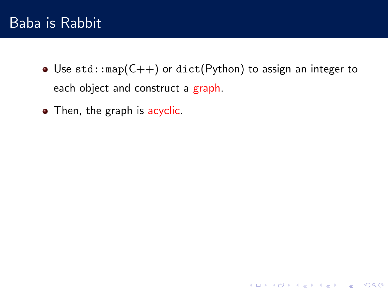#### Baba is Rabbit

• Use std:: $map(C++)$  or dict(Python) to assign an integer to each object and construct a graph.

K ロ ▶ K @ ▶ K 할 > K 할 > 1 할 > 1 이익어

• Then, the graph is acyclic.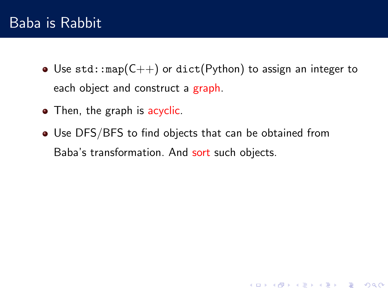### Baba is Rabbit

• Use std:: $map(C++)$  or dict(Python) to assign an integer to each object and construct a graph.

**K ロ ▶ K @ ▶ K 할 X X 할 X → 할 X → 9 Q Q ^** 

- Then, the graph is acyclic.
- Use DFS/BFS to find objects that can be obtained from Baba's transformation. And sort such objects.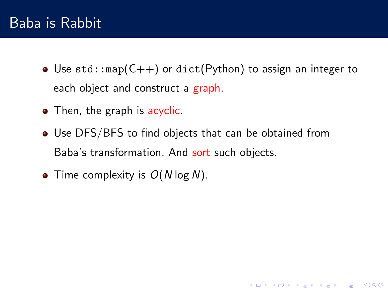### Baba is Rabbit

• Use std:: $map(C++)$  or dict(Python) to assign an integer to each object and construct a graph.

**K ロ ▶ K @ ▶ K 할 X X 할 X → 할 X → 9 Q Q ^** 

- Then, the graph is acyclic.
- Use DFS/BFS to find objects that can be obtained from Baba's transformation. And sort such objects.
- Time complexity is  $O(N \log N)$ .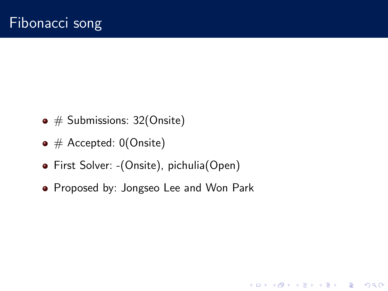- $\bullet$  # Submissions: 32(Onsite)
- $\bullet \#$  Accepted: 0(Onsite)
- First Solver: -(Onsite), pichulia(Open)
- Proposed by: Jongseo Lee and Won Park

**KORK ERKER ADE YOUR**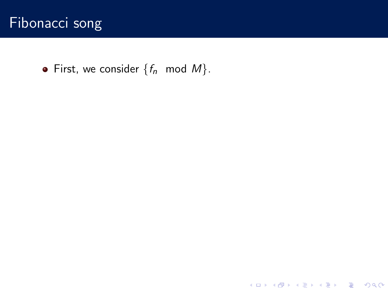

• First, we consider  $\{f_n \mod M\}$ .

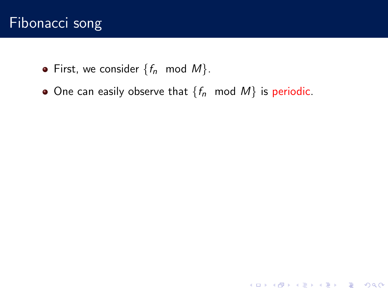- First, we consider  $\{f_n \text{ mod } M\}$ .
- One can easily observe that  $\{f_n \text{ mod } M\}$  is periodic.

K ロ K K (P) K (E) K (E) X (E) X (P) K (P)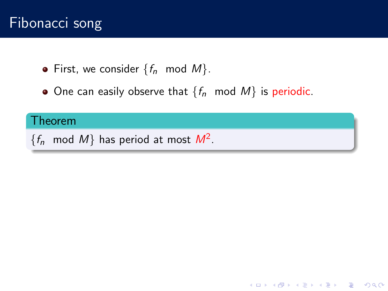- First, we consider  $\{f_n \mod M\}$ .
- One can easily observe that  $\{f_n \text{ mod } M\}$  is periodic.

K ロ ▶ K @ ▶ K 할 > K 할 > 1 할 > 1 이익어

#### Theorem

 $\{f_n \mod M\}$  has period at most  $M^2$ .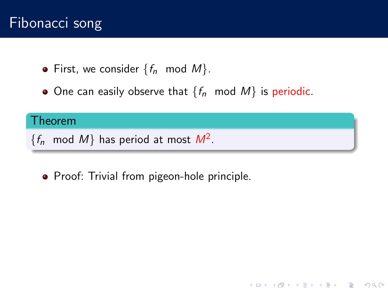- First, we consider  $\{f_n \text{ mod } M\}$ .
- One can easily observe that  $\{f_n \mod M\}$  is periodic.

K ロ ▶ K @ ▶ K 할 > K 할 > 1 할 > 1 이익어

#### Theorem

 $\{f_n \mod M\}$  has period at most  $M^2$ .

• Proof: Trivial from pigeon-hole principle.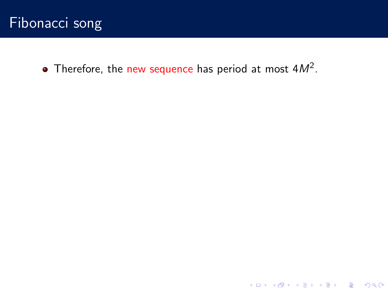Therefore, the new sequence has period at most  $4M^2$ .

K ロ ▶ K @ ▶ K 할 ▶ K 할 ▶ | 할 | ⊙Q @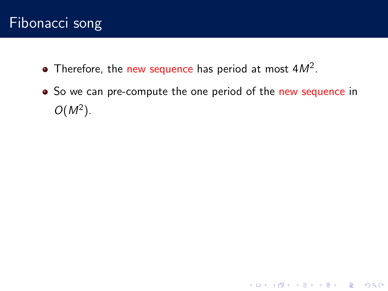- Therefore, the new sequence has period at most  $4M^2$ .
- So we can pre-compute the one period of the new sequence in  $O(M^2)$ .

**K ロ ▶ K @ ▶ K 할 X X 할 X 및 할 X X Q Q O \***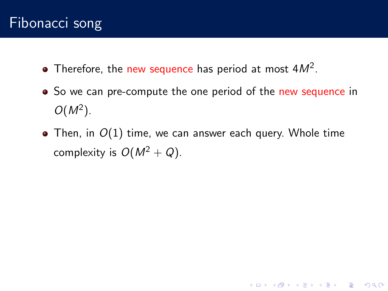- Therefore, the new sequence has period at most  $4M^2$ .
- So we can pre-compute the one period of the new sequence in  $O(M^2)$ .
- Then, in  $O(1)$  time, we can answer each query. Whole time complexity is  $O(M^2 + Q)$ .

**K ロ ▶ K @ ▶ K 할 X X 할 X → 할 X → 9 Q Q ^**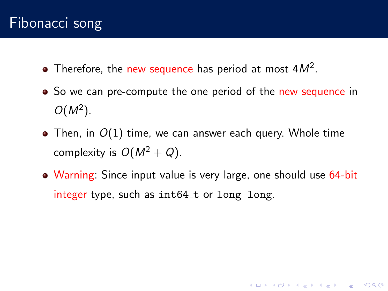- Therefore, the new sequence has period at most  $4M^2$ .
- So we can pre-compute the one period of the new sequence in  $O(M^2)$ .
- Then, in  $O(1)$  time, we can answer each query. Whole time complexity is  $O(M^2 + Q)$ .
- Warning: Since input value is very large, one should use 64-bit integer type, such as  $int64_t$  or long long.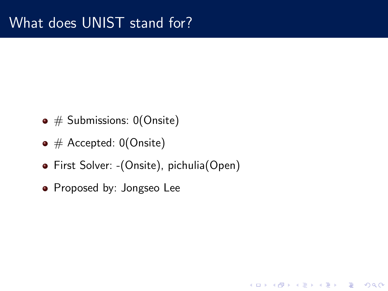- $\bullet \#$  Submissions: 0(Onsite)
- $\bullet \#$  Accepted: 0(Onsite)
- First Solver: -(Onsite), pichulia(Open)

**KORKA SERKER ORA** 

• Proposed by: Jongseo Lee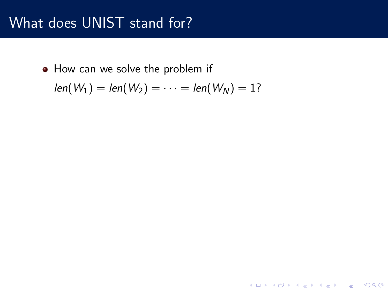• How can we solve the problem if

$$
len(W_1) = len(W_2) = \cdots = len(W_N) = 1?
$$

イロト イ御 トイミト イミト ニミー りんぴ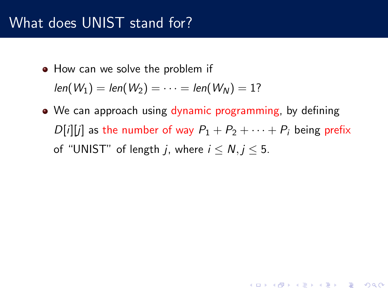• How can we solve the problem if

 $len(W_1) = len(W_2) = \cdots = len(W_N) = 1?$ 

• We can approach using dynamic programming, by defining  $D[i][j]$  as the number of way  $P_1 + P_2 + \cdots + P_i$  being prefix of "UNIST" of length *i*, where  $i < N$ ,  $i < 5$ .

**KORK ERKER ADE YOUR**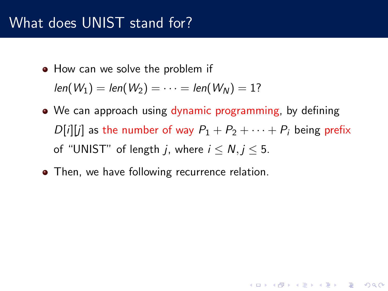• How can we solve the problem if

 $len(W_1) = len(W_2) = \cdots = len(W_N) = 1?$ 

• We can approach using dynamic programming, by defining  $D[i][j]$  as the number of way  $P_1 + P_2 + \cdots + P_i$  being prefix of "UNIST" of length *i*, where  $i \le N, j \le 5$ .

**KORKAR KERKER EL VOLO** 

• Then, we have following recurrence relation.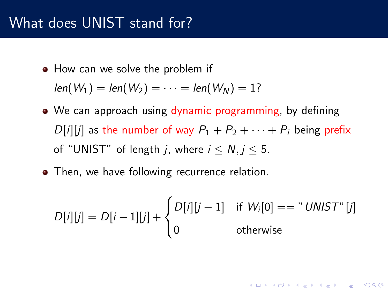• How can we solve the problem if

 $len(W_1) = len(W_2) = \cdots = len(W_N) = 1?$ 

- We can approach using dynamic programming, by defining  $D[i][j]$  as the number of way  $P_1 + P_2 + \cdots + P_i$  being prefix of "UNIST" of length *i*, where  $i \le N, j \le 5$ .
- Then, we have following recurrence relation.

$$
D[i][j] = D[i-1][j] + \begin{cases} D[i][j-1] & \text{if } W_i[0] == "UNIST" [j] \\ 0 & \text{otherwise} \end{cases}
$$

**KORKAR KERKER EL VOLO**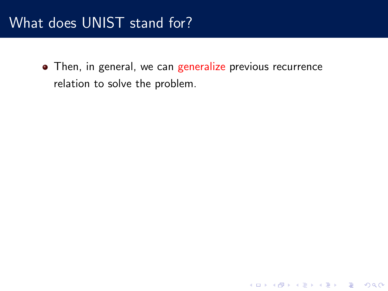• Then, in general, we can generalize previous recurrence relation to solve the problem.

K ロ ▶ K @ ▶ K 할 > K 할 > 1 할 > 1 이익어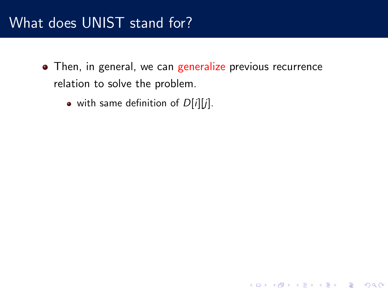• Then, in general, we can generalize previous recurrence relation to solve the problem.

K ロ ▶ K @ ▶ K 할 > K 할 > 1 할 > 1 이익어

 $\bullet$  with same definition of  $D[i][j]$ .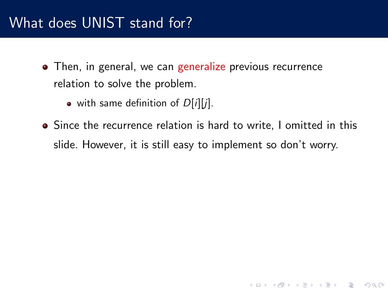- Then, in general, we can generalize previous recurrence relation to solve the problem.
	- with same definition of  $D[i][j]$ .
- Since the recurrence relation is hard to write, I omitted in this slide. However, it is still easy to implement so don't worry.

K ロ ▶ K @ ▶ K 할 > K 할 > 1 할 > 1 이익어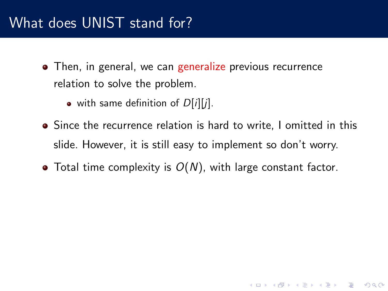- Then, in general, we can generalize previous recurrence relation to solve the problem.
	- with same definition of  $D[i][j]$ .
- Since the recurrence relation is hard to write, I omitted in this slide. However, it is still easy to implement so don't worry.

K ロ ▶ K @ ▶ K 할 > K 할 > 1 할 > 1 이익어

 $\bullet$  Total time complexity is  $O(N)$ , with large constant factor.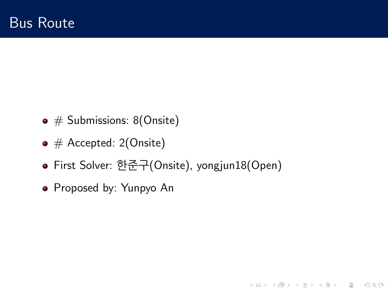- $\bullet \#$  Submissions: 8(Onsite)
- $\bullet \#$  Accepted: 2(Onsite)
- First Solver: 한준구(Onsite), yongjun18(Open)

**KORKA SERKER ORA** 

• Proposed by: Yunpyo An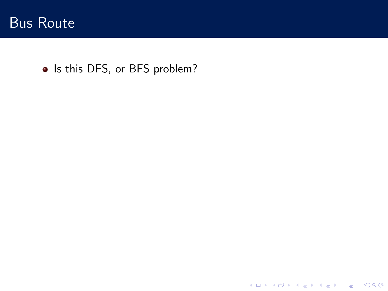

• Is this DFS, or BFS problem?

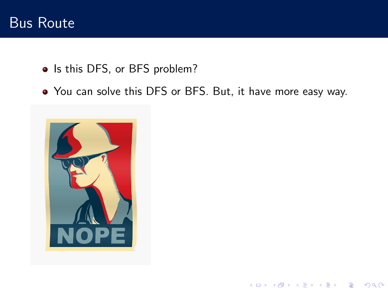#### Bus Route

- Is this DFS, or BFS problem?
- You can solve this DFS or BFS. But, it have more easy way.

K ロ > K @ > K 할 > K 할 > → 할 → ⊙ Q @

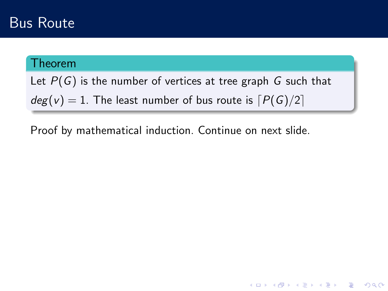#### Theorem

Let  $P(G)$  is the number of vertices at tree graph G such that  $deg(v) = 1$ . The least number of bus route is  $P(G)/2$ 

**K ロ ▶ K @ ▶ K 할 X X 할 X → 할 X → 9 Q Q ^** 

Proof by mathematical induction. Continue on next slide.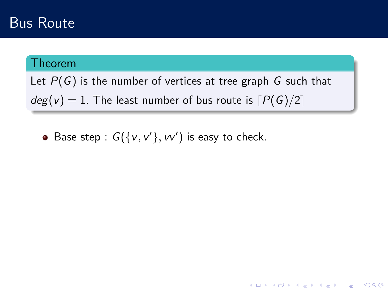#### Theorem

Let  $P(G)$  is the number of vertices at tree graph G such that  $deg(v) = 1$ . The least number of bus route is  $[P(G)/2]$ 

**K ロ ▶ K @ ▶ K 할 X X 할 X → 할 X → 9 Q Q ^** 

Base step :  $G({v, v', v'})$  is easy to check.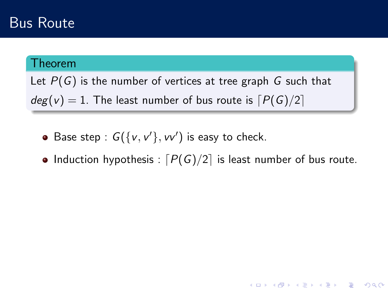#### Theorem

Let  $P(G)$  is the number of vertices at tree graph G such that  $deg(v) = 1$ . The least number of bus route is  $[P(G)/2]$ 

- Base step :  $G({v, v', v'})$  is easy to check.
- Induction hypothesis :  $[P(G)/2]$  is least number of bus route.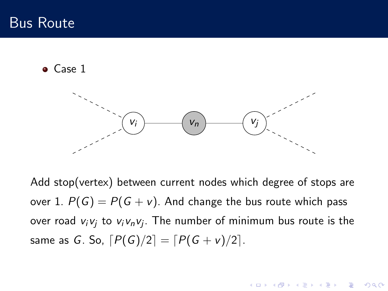• Case 1



Add stop(vertex) between current nodes which degree of stops are over 1.  $P(G) = P(G + v)$ . And change the bus route which pass over road  $v_i v_j$  to  $v_i v_n v_j$ . The number of minimum bus route is the same as G. So,  $[P(G)/2] = [P(G + v)/2]$ .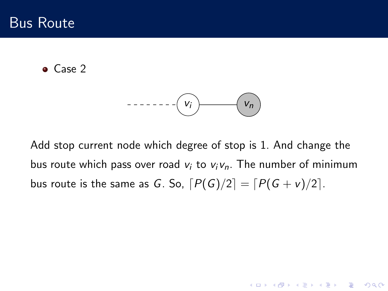• Case 2

$$
-\cdots-\cdots-\left(\mathbf{V}_{i}\right)
$$

Add stop current node which degree of stop is 1. And change the bus route which pass over road  $v_i$  to  $v_i v_n$ . The number of minimum bus route is the same as G. So,  $\lceil P(G)/2 \rceil = \lceil P(G + v)/2 \rceil$ .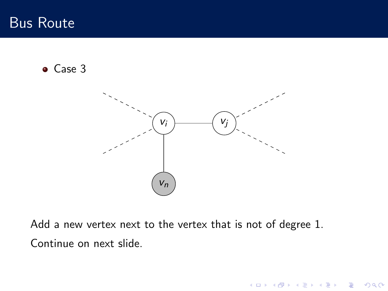• Case 3



Add a new vertex next to the vertex that is not of degree 1. Continue on next slide.

K ロ X イロ X K ミ X K ミ X ミ X Y Q Q Q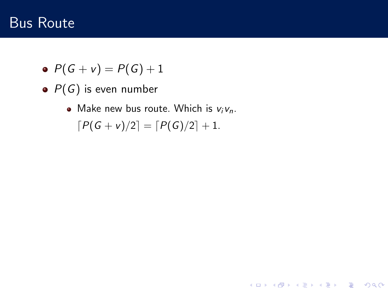$$
\bullet \ \ P(G + v) = P(G) + 1
$$

- $\bullet$   $P(G)$  is even number
	- Make new bus route. Which is  $v_i v_n$ .  $[P(G + v)/2] = [P(G)/2] + 1.$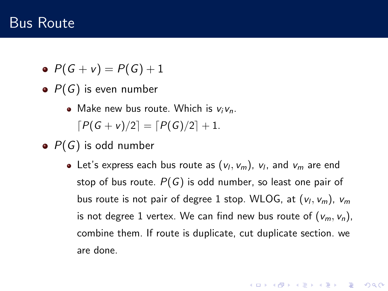$$
\bullet \ \ P(G+v)=P(G)+1
$$

- $\bullet$   $P(G)$  is even number
	- Make new bus route. Which is  $v_i v_n$ .  $[P(G + v)/2] = [P(G)/2] + 1.$
- $\bullet$   $P(G)$  is odd number
	- Let's express each bus route as  $(v_l, v_m)$ ,  $v_l$ , and  $v_m$  are end stop of bus route.  $P(G)$  is odd number, so least one pair of bus route is not pair of degree 1 stop. WLOG, at  $(v_l, v_m)$ ,  $v_m$ is not degree 1 vertex. We can find new bus route of  $(v_m, v_n)$ , combine them. If route is duplicate, cut duplicate section. we are done.

**KORKAR KERKER EL VOLO**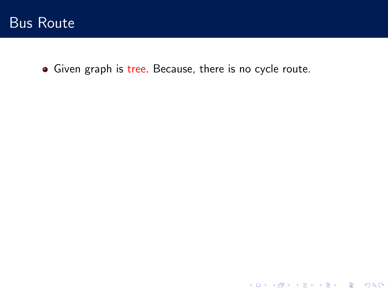

• Given graph is tree. Because, there is no cycle route.

K ロ ▶ K @ ▶ K 할 ▶ K 할 ▶ | 할 | ⊙Q @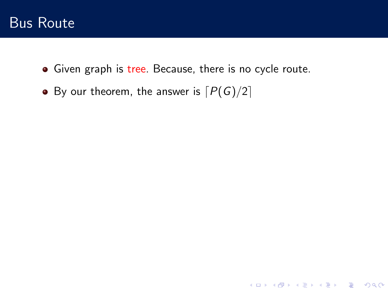• Given graph is tree. Because, there is no cycle route.

K ロ K K (P) K (E) K (E) X (E) X (P) K (P)

• By our theorem, the answer is  $[P(G)/2]$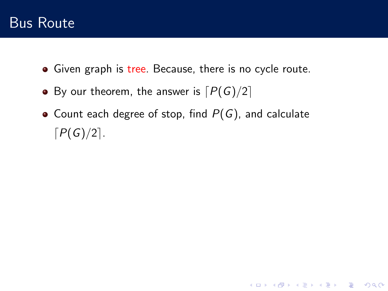- Given graph is tree. Because, there is no cycle route.
- By our theorem, the answer is  $[P(G)/2]$
- Count each degree of stop, find  $P(G)$ , and calculate  $[P(G)/2]$ .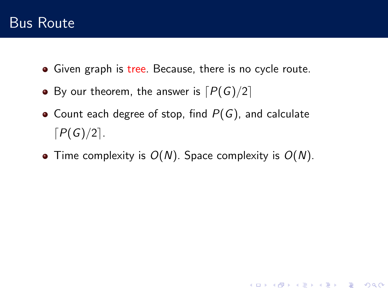- Given graph is tree. Because, there is no cycle route.
- By our theorem, the answer is  $[P(G)/2]$
- Count each degree of stop, find  $P(G)$ , and calculate  $[P(G)/2]$ .
- Time complexity is  $O(N)$ . Space complexity is  $O(N)$ .

K ロ ▶ K @ ▶ K 할 ▶ K 할 ▶ 이 할 → 9 Q @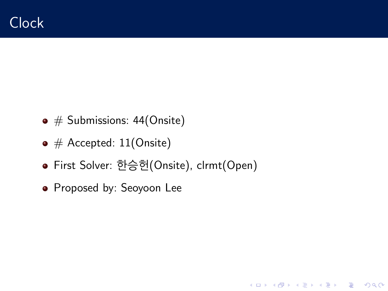- $\bullet$  # Submissions: 44(Onsite)
- $\bullet$  # Accepted: 11(Onsite)
- First Solver: 한승헌(Onsite), clrmt(Open)

**KORKA SERKER ORA** 

• Proposed by: Seoyoon Lee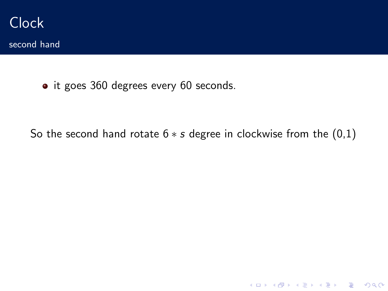

second hand

• it goes 360 degrees every 60 seconds.

So the second hand rotate  $6 * s$  degree in clockwise from the  $(0,1)$ 

K ロ K K (P) K (E) K (E) X (E) X (P) K (P)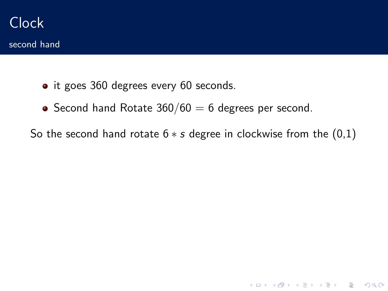- it goes 360 degrees every 60 seconds.
- $\bullet$  Second hand Rotate 360/60 = 6 degrees per second.

So the second hand rotate  $6 * s$  degree in clockwise from the  $(0,1)$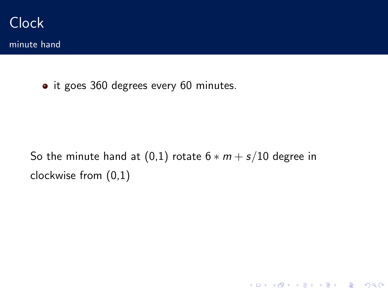

minute hand

• it goes 360 degrees every 60 minutes.

So the minute hand at  $(0,1)$  rotate  $6 * m + s/10$  degree in clockwise from (0,1)

K ロ K K (P) K (E) K (E) X (E) X (P) K (P)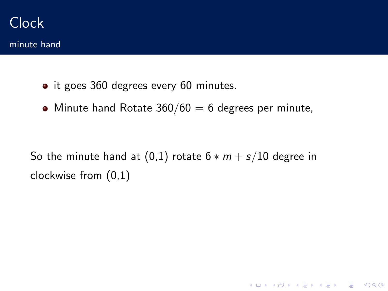minute hand

- it goes 360 degrees every 60 minutes.
- Minute hand Rotate  $360/60 = 6$  degrees per minute,

So the minute hand at  $(0,1)$  rotate  $6 * m + s/10$  degree in clockwise from (0,1)

K ロ ▶ K @ ▶ K 할 > K 할 > 1 할 > 1 이익어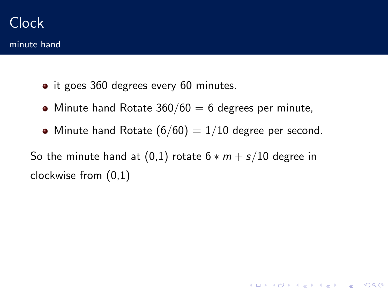- it goes 360 degrees every 60 minutes.
- $\bullet$  Minute hand Rotate 360/60 = 6 degrees per minute,
- Minute hand Rotate  $(6/60) = 1/10$  degree per second.

**K ロ ▶ K @ ▶ K 할 X X 할 X → 할 X → 9 Q Q ^** 

So the minute hand at  $(0,1)$  rotate  $6 * m + s/10$  degree in clockwise from (0,1)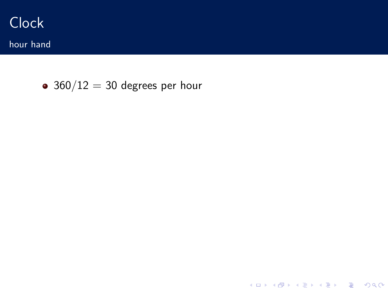

hour hand

 $\bullet$  360/12 = 30 degrees per hour

K ロ X K 메 X K B X X B X X D X O Q Q O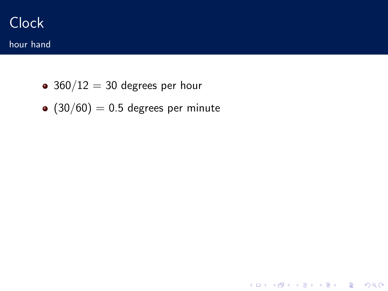# **Clock**

- hour hand
	- $360/12 = 30$  degrees per hour
	- $(30/60) = 0.5$  degrees per minute

K ロ ▶ K @ ▶ K 할 ▶ K 할 ▶ | 할 | ⊙Q @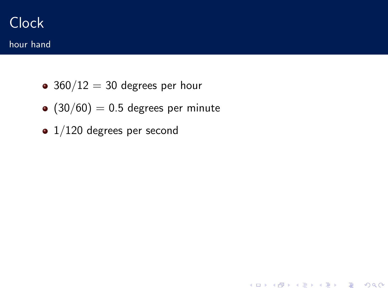# Clock hour hand

- $360/12 = 30$  degrees per hour
- $(30/60) = 0.5$  degrees per minute

K ロ ▶ K @ ▶ K 할 ▶ K 할 ▶ ... 할 → 9 Q @

• 1/120 degrees per second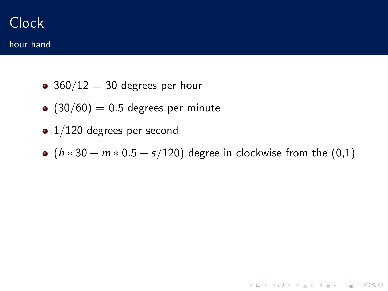## Clock hour hand

- $360/12 = 30$  degrees per hour
- $(30/60) = 0.5$  degrees per minute
- $\bullet$  1/120 degrees per second
- $(h * 30 + m * 0.5 + s/120)$  degree in clockwise from the  $(0,1)$

K ロ ▶ K @ ▶ K 할 > K 할 > 1 할 > 1 이익어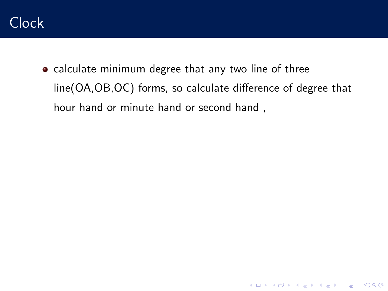

• calculate minimum degree that any two line of three line(OA,OB,OC) forms, so calculate difference of degree that hour hand or minute hand or second hand ,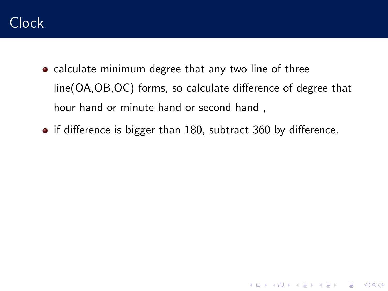

- calculate minimum degree that any two line of three line(OA,OB,OC) forms, so calculate difference of degree that hour hand or minute hand or second hand ,
- if difference is bigger than 180, subtract 360 by difference.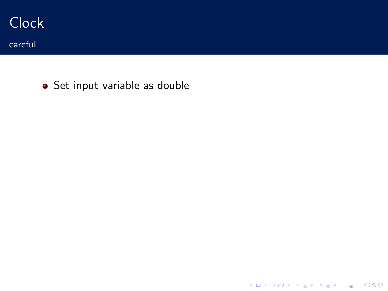

• Set input variable as double

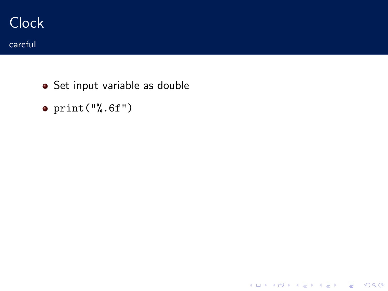

• Set input variable as double

K ロ ▶ K @ ▶ K 할 ▶ K 할 ▶ | 할 | ⊙Q @

 $\bullet$  print("%.6f")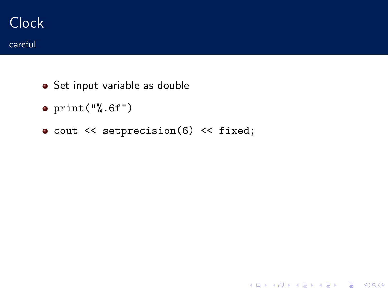- Set input variable as double
- $\bullet$  print("%.6f")
- cout << setprecision(6) << fixed;

K ロ ▶ K @ ▶ K 할 ▶ K 할 ▶ | 할 | ⊙Q @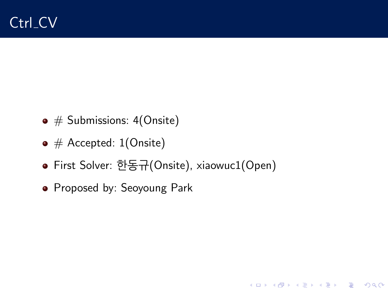- $\bullet$  # Submissions: 4(Onsite)
- $\bullet$  # Accepted: 1(Onsite)
- First Solver: 한동규(Onsite), xiaowuc1(Open)

**KORKA SERKER ORA** 

• Proposed by: Seoyoung Park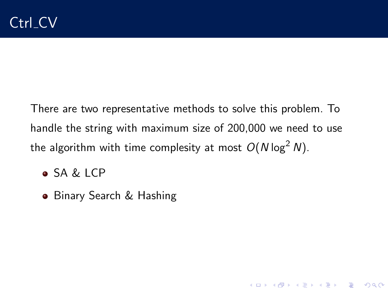There are two representative methods to solve this problem. To handle the string with maximum size of 200,000 we need to use the algorithm with time complesity at most  $O(N \log^2 N)$ .

- SA & LCP
- Binary Search & Hashing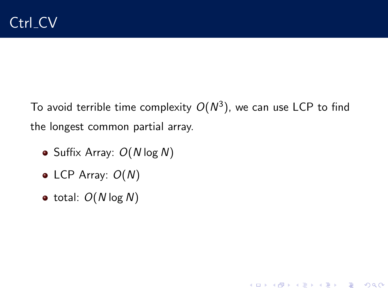To avoid terrible time complexity  $O(N^3)$ , we can use LCP to find the longest common partial array.

K ロ ▶ K @ ▶ K 할 > K 할 > 1 할 > 1 이익어

- Suffix Array:  $O(N \log N)$
- LCP Array:  $O(N)$
- $\bullet$  total:  $O(N \log N)$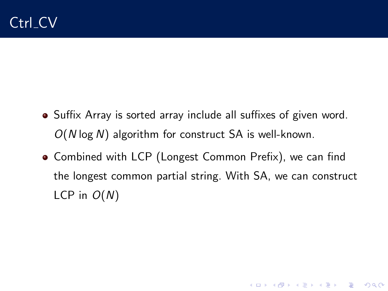- Suffix Array is sorted array include all suffixes of given word.  $O(N \log N)$  algorithm for construct SA is well-known.
- Combined with LCP (Longest Common Prefix), we can find the longest common partial string. With SA, we can construct LCP in  $O(N)$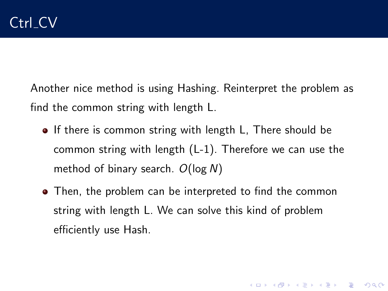Another nice method is using Hashing. Reinterpret the problem as find the common string with length L.

- If there is common string with length L, There should be common string with length (L-1). Therefore we can use the method of binary search.  $O(\log N)$
- Then, the problem can be interpreted to find the common string with length L. We can solve this kind of problem efficiently use Hash.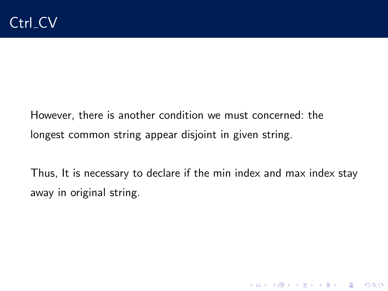However, there is another condition we must concerned: the longest common string appear disjoint in given string.

Thus, It is necessary to declare if the min index and max index stay away in original string.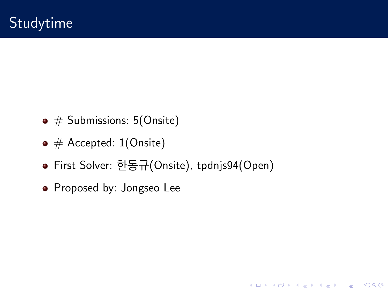- $\bullet \#$  Submissions: 5(Onsite)
- $\bullet$  # Accepted: 1(Onsite)
- First Solver: 한동규(Onsite), tpdnjs94(Open)

**KORKA SERKER ORA** 

• Proposed by: Jongseo Lee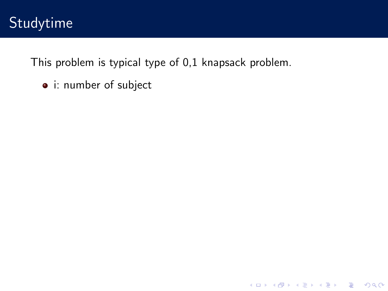This problem is typical type of 0,1 knapsack problem.

K ロ ▶ K @ ▶ K 할 ▶ K 할 ▶ | 할 | © 9 Q @

i: number of subject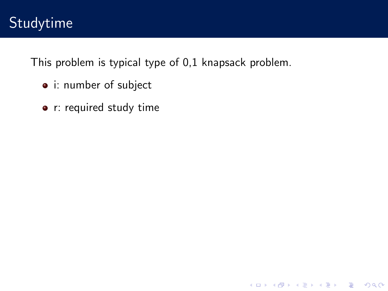This problem is typical type of 0,1 knapsack problem.

- i: number of subject
- r: required study time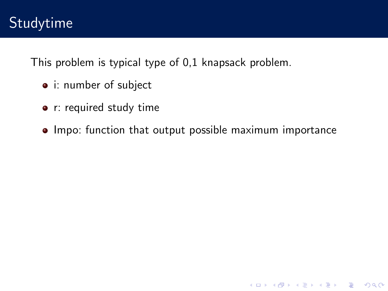This problem is typical type of 0,1 knapsack problem.

- i: number of subject
- r: required study time
- Impo: function that output possible maximum importance

**K ロ ▶ K @ ▶ K 할 X X 할 X 및 할 X X Q Q O**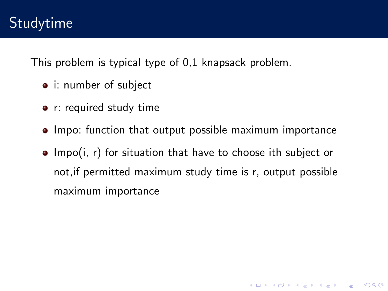This problem is typical type of 0,1 knapsack problem.

- i: number of subject
- r: required study time
- Impo: function that output possible maximum importance
- $\bullet$  Impo(i, r) for situation that have to choose ith subject or not,if permitted maximum study time is r, output possible maximum importance

**K ロ ▶ K @ ▶ K 할 X X 할 X 및 할 X X Q Q O**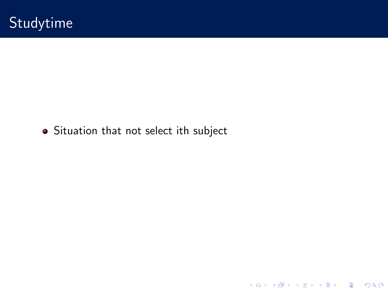## • Situation that not select ith subject

K ロ X K 메 X K B X X B X X D X O Q Q O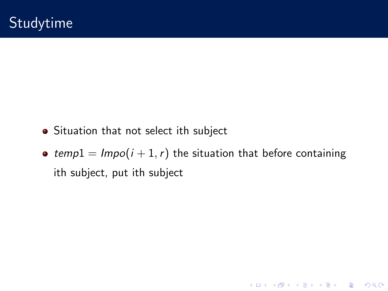- Situation that not select ith subject
- temp1 =  $Impo(i + 1, r)$  the situation that before containing ith subject, put ith subject

K □ ▶ K @ ▶ K 할 X K 할 X T 할 X 1 9 Q Q \*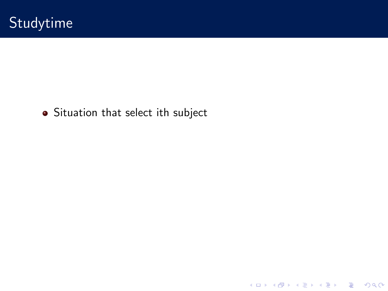## • Situation that select ith subject

K ロ X K 메 X K B X X B X X D X O Q Q O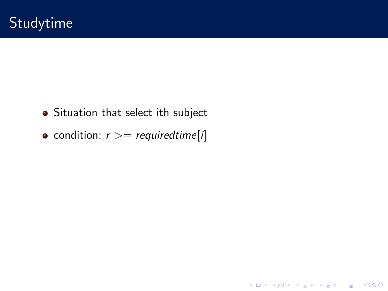- Situation that select ith subject
- condition:  $r$  > = requiredtime[i]

K ロ ▶ K @ ▶ K 할 ▶ K 할 ▶ | 할 | ⊙Q @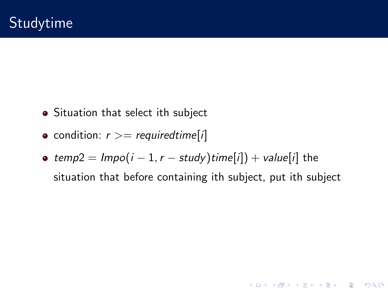- Situation that select ith subject
- condition:  $r \geq r$  required time [i]
- temp2 =  $Impo(i 1, r study)$ time[i]) + value[i] the situation that before containing ith subject, put ith subject

**K ロ ▶ K @ ▶ K 할 X X 할 X 및 할 X X Q Q O**